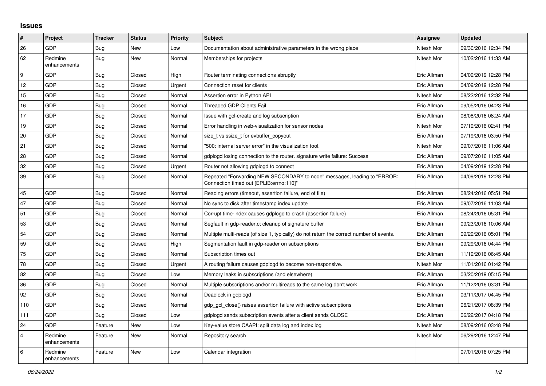## **Issues**

| #              | Project                 | <b>Tracker</b> | <b>Status</b> | <b>Priority</b> | <b>Subject</b>                                                                                                      | <b>Assignee</b> | <b>Updated</b>      |
|----------------|-------------------------|----------------|---------------|-----------------|---------------------------------------------------------------------------------------------------------------------|-----------------|---------------------|
| 26             | GDP                     | Bug            | <b>New</b>    | Low             | Documentation about administrative parameters in the wrong place                                                    | Nitesh Mor      | 09/30/2016 12:34 PM |
| 62             | Redmine<br>enhancements | <b>Bug</b>     | <b>New</b>    | Normal          | Memberships for projects                                                                                            | Nitesh Mor      | 10/02/2016 11:33 AM |
| 9              | GDP                     | <b>Bug</b>     | Closed        | High            | Router terminating connections abruptly                                                                             | Eric Allman     | 04/09/2019 12:28 PM |
| 12             | <b>GDP</b>              | <b>Bug</b>     | Closed        | Urgent          | Connection reset for clients                                                                                        | Eric Allman     | 04/09/2019 12:28 PM |
| 15             | <b>GDP</b>              | Bug            | Closed        | Normal          | Assertion error in Python API                                                                                       | Nitesh Mor      | 08/22/2016 12:32 PM |
| 16             | GDP                     | <b>Bug</b>     | Closed        | Normal          | <b>Threaded GDP Clients Fail</b>                                                                                    | Eric Allman     | 09/05/2016 04:23 PM |
| 17             | <b>GDP</b>              | <b>Bug</b>     | Closed        | Normal          | Issue with gcl-create and log subscription                                                                          | Eric Allman     | 08/08/2016 08:24 AM |
| 19             | <b>GDP</b>              | <b>Bug</b>     | Closed        | Normal          | Error handling in web-visualization for sensor nodes                                                                | Nitesh Mor      | 07/19/2016 02:41 PM |
| 20             | <b>GDP</b>              | Bug            | Closed        | Normal          | size t vs ssize t for evbuffer copyout                                                                              | Eric Allman     | 07/19/2016 03:50 PM |
| 21             | <b>GDP</b>              | Bug            | Closed        | Normal          | "500: internal server error" in the visualization tool.                                                             | Nitesh Mor      | 09/07/2016 11:06 AM |
| 28             | GDP                     | <b>Bug</b>     | Closed        | Normal          | gdplogd losing connection to the router, signature write failure: Success                                           | Eric Allman     | 09/07/2016 11:05 AM |
| 32             | GDP                     | <b>Bug</b>     | Closed        | Urgent          | Router not allowing gdplogd to connect                                                                              | Eric Allman     | 04/09/2019 12:28 PM |
| 39             | <b>GDP</b>              | Bug            | Closed        | Normal          | Repeated "Forwarding NEW SECONDARY to node" messages, leading to "ERROR:<br>Connection timed out [EPLIB:errno:110]" | Eric Allman     | 04/09/2019 12:28 PM |
| 45             | <b>GDP</b>              | <b>Bug</b>     | Closed        | Normal          | Reading errors (timeout, assertion failure, end of file)                                                            | Eric Allman     | 08/24/2016 05:51 PM |
| 47             | <b>GDP</b>              | <b>Bug</b>     | Closed        | Normal          | No sync to disk after timestamp index update                                                                        | Eric Allman     | 09/07/2016 11:03 AM |
| 51             | <b>GDP</b>              | <b>Bug</b>     | Closed        | Normal          | Corrupt time-index causes gdplogd to crash (assertion failure)                                                      | Eric Allman     | 08/24/2016 05:31 PM |
| 53             | <b>GDP</b>              | Bug            | Closed        | Normal          | Segfault in gdp-reader.c; cleanup of signature buffer                                                               | Eric Allman     | 09/23/2016 10:06 AM |
| 54             | <b>GDP</b>              | <b>Bug</b>     | Closed        | Normal          | Multiple multi-reads (of size 1, typically) do not return the correct number of events.                             | Eric Allman     | 09/29/2016 05:01 PM |
| 59             | GDP                     | <b>Bug</b>     | Closed        | High            | Segmentation fault in gdp-reader on subscriptions                                                                   | Eric Allman     | 09/29/2016 04:44 PM |
| 75             | <b>GDP</b>              | <b>Bug</b>     | Closed        | Normal          | Subscription times out                                                                                              | Eric Allman     | 11/19/2016 06:45 AM |
| 78             | <b>GDP</b>              | Bug            | Closed        | Urgent          | A routing failure causes gdplogd to become non-responsive.                                                          | Nitesh Mor      | 11/01/2016 01:42 PM |
| 82             | <b>GDP</b>              | Bug            | Closed        | Low             | Memory leaks in subscriptions (and elsewhere)                                                                       | Eric Allman     | 03/20/2019 05:15 PM |
| 86             | <b>GDP</b>              | Bug            | Closed        | Normal          | Multiple subscriptions and/or multireads to the same log don't work                                                 | Eric Allman     | 11/12/2016 03:31 PM |
| 92             | GDP                     | <b>Bug</b>     | Closed        | Normal          | Deadlock in gdplogd                                                                                                 | Eric Allman     | 03/11/2017 04:45 PM |
| 110            | <b>GDP</b>              | <b>Bug</b>     | Closed        | Normal          | gdp_gcl_close() raises assertion failure with active subscriptions                                                  | Eric Allman     | 06/21/2017 08:39 PM |
| 111            | <b>GDP</b>              | <b>Bug</b>     | Closed        | Low             | adpload sends subscription events after a client sends CLOSE                                                        | Eric Allman     | 06/22/2017 04:18 PM |
| 24             | <b>GDP</b>              | Feature        | <b>New</b>    | Low             | Key-value store CAAPI: split data log and index log                                                                 | Nitesh Mor      | 08/09/2016 03:48 PM |
| $\overline{4}$ | Redmine<br>enhancements | Feature        | <b>New</b>    | Normal          | Repository search                                                                                                   | Nitesh Mor      | 06/29/2016 12:47 PM |
| 6              | Redmine<br>enhancements | Feature        | <b>New</b>    | Low             | Calendar integration                                                                                                |                 | 07/01/2016 07:25 PM |